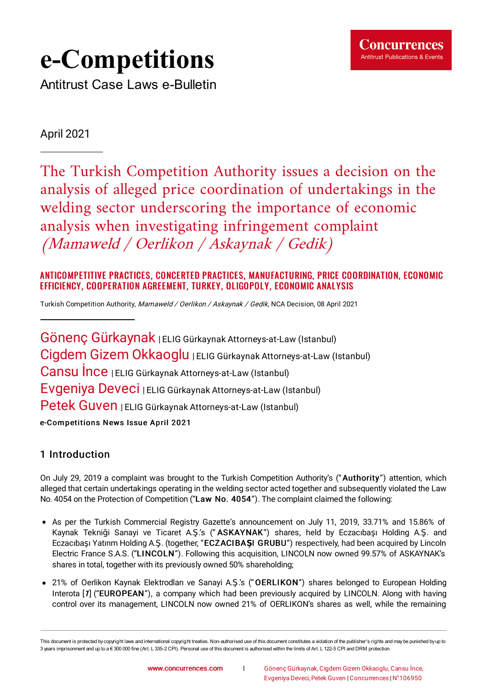

# **e-Competitions**

Antitrust Case Laws e-Bulletin

# April 2021

The Turkish Competition Authority issues a decision on the analysis of alleged price coordination of undertakings in the welding sector underscoring the importance of economic analysis when investigating infringement complaint (Mamaweld / Oerlikon / Askaynak / Gedik)

# ANTICOMPETITIVE PRACTICES, CONCERTED PRACTICES, MANUFACTURING, PRICE COORDINATION, ECONOMIC EFFICIENCY, COOPERATION AGREEMENT, TURKEY, OLIGOPOLY, ECONOMIC ANALYSIS

Turkish [Competition](https://www.concurrences.com/IMG/pdf/karar_21-20-247-104.pdf?78453/53316ff97bef459dee780a3f34e67e5533aaf922) Authority, Mamaweld / Oerlikon / Askaynak / Gedik, NCA Decision, 08 April 2021

Gönenç Gürkaynak | ELIG Gürkaynak Attorneys-at-Law (Istanbul) Cigdem Gizem Okkaoglu | ELIG Gürkaynak Attorneys-at-Law (Istanbul) Cansu İnce <sup>|</sup> ELIG Gürkaynak Attorneys-at-Law (Istanbul) Evgeniya Deveci <sup>|</sup> ELIG Gürkaynak Attorneys-at-Law (Istanbul) Petek Guven | ELIG Gürkaynak Attorneys-at-Law (Istanbul) e-Competitions News Issue April 2021

# 1 Introduction

On July 29, 2019 a complaint was brought to the Turkish Competition Authority's ("Authority") attention, which alleged that certain undertakings operating in the welding sector acted together and subsequently violated the Law No. 4054 on the Protection of Competition ("Law No. 4054"). The complaint claimed the following:

- As per the Turkish Commercial Registry Gazette's announcement on July 11, 2019, 33.71% and 15.86% of Kaynak Tekniği Sanayi ve Ticaret A.Ş.'s (" ASKAYNAK") shares, held by Eczacıbaşı Holding A.Ş. and Eczacıbaşı Yatırım Holding A.Ş. (together, "ECZACIBA**Ş**I GRUBU") respectively, had been acquired by Lincoln Electric France S.A.S. ("LINCOLN"). Following this acquisition, LINCOLN now owned 99.57% of ASKAYNAK's shares in total, together with its previously owned 50% shareholding;
- <span id="page-0-0"></span>21% of Oerlikon Kaynak Elektrodları ve Sanayi A.Ş.'s ("OERLIKON") shares belonged to European Holding Interota [[1](#page-8-0)] ("EUROPEAN"), a company which had been previously acquired by LINCOLN. Along with having control over its management, LINCOLN now owned 21% of OERLIKON's shares as well, while the remaining

This document is protected by copyright laws and international copyright treaties. Non-authorised use of this document constitutes a violation of the publisher's rights and maybe punished byup to 3 years imprisonment and up to a € 300 000 fine (Art. L 335-2 CPI). Personal use of this document is authorised within the limits of Art. L 122-5 CPI and DRM protection.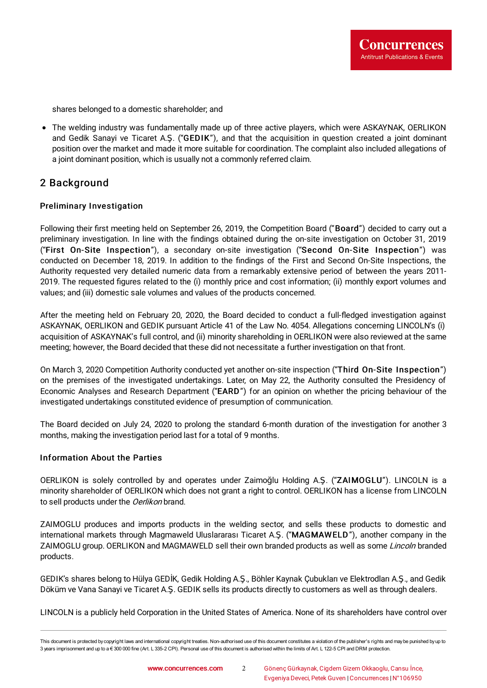shares belonged to a domestic shareholder; and

The welding industry was fundamentally made up of three active players, which were ASKAYNAK, OERLIKON and Gedik Sanayi ve Ticaret A.Ş. ("GEDIK"), and that the acquisition in question created a joint dominant position over the market and made it more suitable for coordination. The complaint also included allegations of a joint dominant position, which is usually not a commonly referred claim.

# 2 Background

#### Preliminary Investigation

Following their first meeting held on September 26, 2019, the Competition Board ("Board") decided to carry out a preliminary investigation. In line with the findings obtained during the on-site investigation on October 31, 2019 ("First On-Site Inspection"), a secondary on-site investigation ("Second On-Site Inspection") was conducted on December 18, 2019. In addition to the findings of the First and Second On-Site Inspections, the Authority requested very detailed numeric data from a remarkably extensive period of between the years 2011- 2019. The requested figures related to the (i) monthly price and cost information; (ii) monthly export volumes and values; and (iii) domestic sale volumes and values of the products concerned.

After the meeting held on February 20, 2020, the Board decided to conduct a full-fledged investigation against ASKAYNAK, OERLIKON and GEDIK pursuant Article 41 of the Law No. 4054. Allegations concerning LINCOLN's (i) acquisition of ASKAYNAK's full control, and (ii) minority shareholding in OERLIKON were also reviewed at the same meeting; however, the Board decided that these did not necessitate a further investigation on that front.

On March 3, 2020 Competition Authority conducted yet another on-site inspection ("Third On-Site Inspection") on the premises of the investigated undertakings. Later, on May 22, the Authority consulted the Presidency of Economic Analyses and Research Department ("EARD") for an opinion on whether the pricing behaviour of the investigated undertakings constituted evidence of presumption of communication.

The Board decided on July 24, 2020 to prolong the standard 6-month duration of the investigation for another 3 months, making the investigation period last for a total of 9 months.

#### Information About the Parties

OERLIKON is solely controlled by and operates under Zaimoğlu Holding A.Ş. ("ZAIMOGLU"). LINCOLN is a minority shareholder of OERLIKON which does not grant a right to control. OERLIKON has a license from LINCOLN to sell products under the *Oerlikon* brand.

ZAIMOGLU produces and imports products in the welding sector, and sells these products to domestic and international markets through Magmaweld Uluslararası Ticaret A.Ş. ("MAGMAWELD"), another company in the ZAIMOGLU group. OERLIKON and MAGMAWELD sell their own branded products as well as some Lincoln branded products.

GEDIK's shares belong to Hülya GEDİK, Gedik Holding A.Ş., Böhler Kaynak Çubukları ve Elektrodları A.Ş., and Gedik Döküm ve Vana Sanayi ve Ticaret A.Ş. GEDIK sells its products directly to customers as well as through dealers.

LINCOLN is a publicly held Corporation in the United States of America. None of its shareholders have control over

This document is protected by copyright laws and international copyright treaties. Non-authorised use of this document constitutes a violation of the publisher's rights and maybe punished byup to 3 years imprisonment and up to a € 300 000 fine (Art. L 335-2 CPI). Personal use of this document is authorised within the limits of Art. L 122-5 CPI and DRM protection.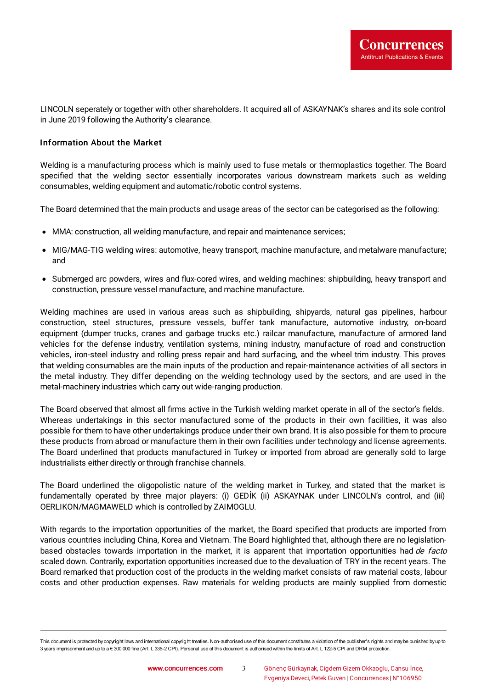LINCOLN seperately or together with other shareholders. It acquired all of ASKAYNAK's shares and its sole control in June 2019 following the Authority's clearance.

#### Information About the Market

Welding is a manufacturing process which is mainly used to fuse metals or thermoplastics together. The Board specified that the welding sector essentially incorporates various downstream markets such as welding consumables, welding equipment and automatic/robotic control systems.

The Board determined that the main products and usage areas of the sector can be categorised as the following:

- MMA: construction, all welding manufacture, and repair and maintenance services;
- MIG/MAG-TIG welding wires: automotive, heavy transport, machine manufacture, and metalware manufacture; and
- Submerged arc powders, wires and flux-cored wires, and welding machines: shipbuilding, heavy transport and construction, pressure vessel manufacture, and machine manufacture.

Welding machines are used in various areas such as shipbuilding, shipyards, natural gas pipelines, harbour construction, steel structures, pressure vessels, buffer tank manufacture, automotive industry, on-board equipment (dumper trucks, cranes and garbage trucks etc.) railcar manufacture, manufacture of armored land vehicles for the defense industry, ventilation systems, mining industry, manufacture of road and construction vehicles, iron-steel industry and rolling press repair and hard surfacing, and the wheel trim industry. This proves that welding consumables are the main inputs of the production and repair-maintenance activities of all sectors in the metal industry. They differ depending on the welding technology used by the sectors, and are used in the metal-machinery industries which carry out wide-ranging production.

The Board observed that almost all firms active in the Turkish welding market operate in all of the sector's fields. Whereas undertakings in this sector manufactured some of the products in their own facilities, it was also possible for them to have other undertakings produce under their own brand. It is also possible for them to procure these products from abroad or manufacture them in their own facilities under technology and license agreements. The Board underlined that products manufactured in Turkey or imported from abroad are generally sold to large industrialists either directly or through franchise channels.

The Board underlined the oligopolistic nature of the welding market in Turkey, and stated that the market is fundamentally operated by three major players: (i) GEDİK (ii) ASKAYNAK under LINCOLN's control, and (iii) OERLIKON/MAGMAWELD which is controlled by ZAIMOGLU.

With regards to the importation opportunities of the market, the Board specified that products are imported from various countries including China, Korea and Vietnam. The Board highlighted that, although there are no legislationbased obstacles towards importation in the market, it is apparent that importation opportunities had de facto scaled down. Contrarily, exportation opportunities increased due to the devaluation of TRY in the recent years. The Board remarked that production cost of the products in the welding market consists of raw material costs, labour costs and other production expenses. Raw materials for welding products are mainly supplied from domestic

This document is protected by copyright laws and international copyright treaties. Non-authorised use of this document constitutes a violation of the publisher's rights and maybe punished byup to 3 years imprisonment and up to a € 300 000 fine (Art. L 335-2 CPI). Personal use of this document is authorised within the limits of Art. L 122-5 CPI and DRM protection.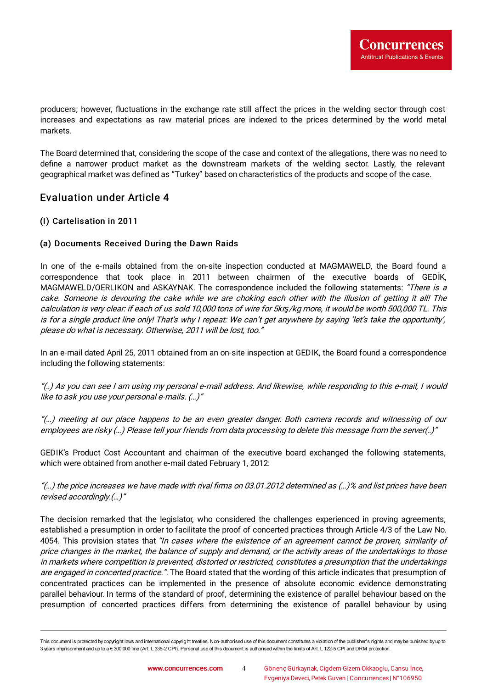producers; however, Quctuations in the exchange rate still affect the prices in the welding sector through cost increases and expectations as raw material prices are indexed to the prices determined by the world metal markets.

The Board determined that, considering the scope of the case and context of the allegations, there was no need to define a narrower product market as the downstream markets of the welding sector. Lastly, the relevant geographical market was defined as "Turkey" based on characteristics of the products and scope of the case.

# Evaluation under Article 4

## (I) Cartelisation in 2011

## (a) Documents Received During the Dawn Raids

In one of the e-mails obtained from the on-site inspection conducted at MAGMAWELD, the Board found a correspondence that took place in 2011 between chairmen of the executive boards of GEDİK, MAGMAWELD/OERLIKON and ASKAYNAK. The correspondence included the following statements: "There is a cake. Someone is devouring the cake while we are choking each other with the illusion of getting it all! The calculation is very clear: if each of us sold 10,000 tons of wire for 5krş/kg more, it would be worth 500,000 TL. This is for <sup>a</sup> single product line only! That's why I repeat: We can't get anywhere by saying 'let's take the opportunity', please do what is necessary. Otherwise, 2011 will be lost, too."

In an e-mail dated April 25, 2011 obtained from an on-site inspection at GEDIK, the Board found a correspondence including the following statements:

"(..) As you can see <sup>I</sup> am using my personal e-mail address. And likewise, while responding to this e-mail, <sup>I</sup> would like to ask you use your personal e-mails. (…)"

"(…) meeting at our place happens to be an even greater danger. Both camera records and witnessing of our employees are risky (…) Please tell your friends from data processing to delete this message from the server(..)"

GEDIK's Product Cost Accountant and chairman of the executive board exchanged the following statements, which were obtained from another e-mail dated February 1, 2012:

"(...) the price increases we have made with rival firms on 03.01.2012 determined as (...)% and list prices have been revised accordingly.(…)"

The decision remarked that the legislator, who considered the challenges experienced in proving agreements, established a presumption in order to facilitate the proof of concerted practices through Article 4/3 of the Law No. 4054. This provision states that "In cases where the existence of an agreement cannot be proven, similarity of price changes in the market, the balance of supply and demand, or the activity areas of the undertakings to those in markets where competition is prevented, distorted or restricted, constitutes <sup>a</sup> presumption that the undertakings are engaged in concerted practice.". The Board stated that the wording of this article indicates that presumption of concentrated practices can be implemented in the presence of absolute economic evidence demonstrating parallel behaviour. In terms of the standard of proof, determining the existence of parallel behaviour based on the presumption of concerted practices differs from determining the existence of parallel behaviour by using

This document is protected by copyright laws and international copyright treaties. Non-authorised use of this document constitutes a violation of the publisher's rights and maybe punished byup to 3 years imprisonment and up to a € 300 000 fine (Art. L 335-2 CPI). Personal use of this document is authorised within the limits of Art. L 122-5 CPI and DRM protection.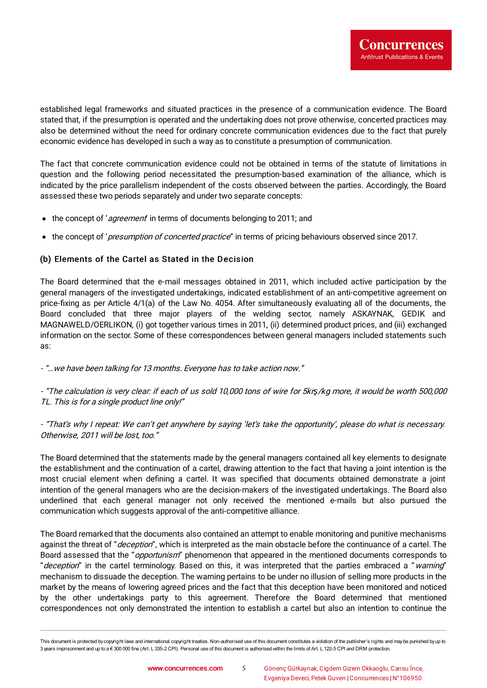established legal frameworks and situated practices in the presence of a communication evidence. The Board stated that, if the presumption is operated and the undertaking does not prove otherwise, concerted practices may also be determined without the need for ordinary concrete communication evidences due to the fact that purely economic evidence has developed in such a way as to constitute a presumption of communication.

The fact that concrete communication evidence could not be obtained in terms of the statute of limitations in question and the following period necessitated the presumption-based examination of the alliance, which is indicated by the price parallelism independent of the costs observed between the parties. Accordingly, the Board assessed these two periods separately and under two separate concepts:

- the concept of 'agreement' in terms of documents belonging to 2011; and
- the concept of 'presumption of concerted practice" in terms of pricing behaviours observed since 2017.

#### (b) Elements of the Cartel as Stated in the Decision

The Board determined that the e-mail messages obtained in 2011, which included active participation by the general managers of the investigated undertakings, indicated establishment of an anti-competitive agreement on price-fixing as per Article 4/1(a) of the Law No. 4054. After simultaneously evaluating all of the documents, the Board concluded that three major players of the welding sector, namely ASKAYNAK, GEDIK and MAGNAWELD/OERLIKON, (i) got together various times in 2011, (ii) determined product prices, and (iii) exchanged information on the sector. Some of these correspondences between general managers included statements such as:

- "…we have been talking for 13 months. Everyone has to take action now."

- "The calculation is very clear: if each of us sold 10,000 tons of wire for 5krş/kg more, it would be worth 500,000 TL. This is for <sup>a</sup> single product line only!"

- "That's why I repeat: We can't get anywhere by saying 'let's take the opportunity', please do what is necessary. Otherwise, 2011 will be lost, too."

The Board determined that the statements made by the general managers contained all key elements to designate the establishment and the continuation of a cartel, drawing attention to the fact that having a joint intention is the most crucial element when defining a cartel. It was specified that documents obtained demonstrate a joint intention of the general managers who are the decision-makers of the investigated undertakings. The Board also underlined that each general manager not only received the mentioned e-mails but also pursued the communication which suggests approval of the anti-competitive alliance.

The Board remarked that the documents also contained an attempt to enable monitoring and punitive mechanisms against the threat of "deception", which is interpreted as the main obstacle before the continuance of a cartel. The Board assessed that the "*opportunism*" phenomenon that appeared in the mentioned documents corresponds to "deception" in the cartel terminology. Based on this, it was interpreted that the parties embraced a "warning" mechanism to dissuade the deception. The warning pertains to be under no illusion of selling more products in the market by the means of lowering agreed prices and the fact that this deception have been monitored and noticed by the other undertakings party to this agreement. Therefore the Board determined that mentioned correspondences not only demonstrated the intention to establish a cartel but also an intention to continue the

This document is protected by copyright laws and international copyright treaties. Non-authorised use of this document constitutes a violation of the publisher's rights and maybe punished byup to 3 years imprisonment and up to a € 300 000 fine (Art. L 335-2 CPI). Personal use of this document is authorised within the limits of Art. L 122-5 CPI and DRM protection.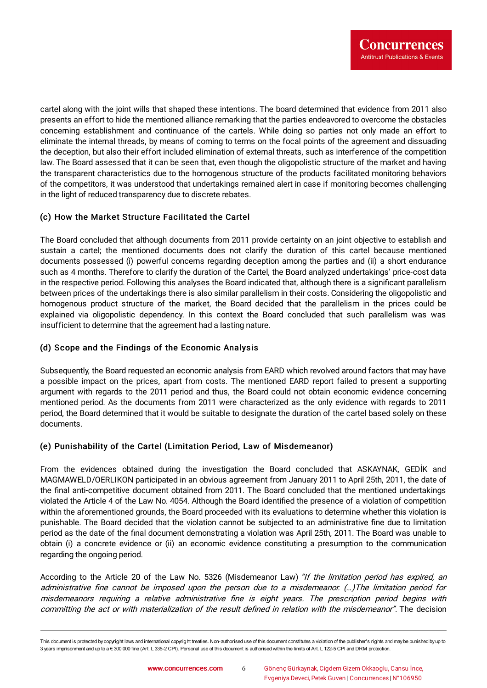cartel along with the joint wills that shaped these intentions. The board determined that evidence from 2011 also presents an effort to hide the mentioned alliance remarking that the parties endeavored to overcome the obstacles concerning establishment and continuance of the cartels. While doing so parties not only made an effort to eliminate the internal threads, by means of coming to terms on the focal points of the agreement and dissuading the deception, but also their effort included elimination of external threats, such as interference of the competition law. The Board assessed that it can be seen that, even though the oligopolistic structure of the market and having the transparent characteristics due to the homogenous structure of the products facilitated monitoring behaviors of the competitors, it was understood that undertakings remained alert in case if monitoring becomes challenging in the light of reduced transparency due to discrete rebates.

## (c) How the Market Structure Facilitated the Cartel

The Board concluded that although documents from 2011 provide certainty on an joint objective to establish and sustain a cartel; the mentioned documents does not clarify the duration of this cartel because mentioned documents possessed (i) powerful concerns regarding deception among the parties and (ii) a short endurance such as 4 months. Therefore to clarify the duration of the Cartel, the Board analyzed undertakings' price-cost data in the respective period. Following this analyses the Board indicated that, although there is a significant parallelism between prices of the undertakings there is also similar parallelism in their costs. Considering the oligopolistic and homogenous product structure of the market, the Board decided that the parallelism in the prices could be explained via oligopolistic dependency. In this context the Board concluded that such parallelism was was insufficient to determine that the agreement had a lasting nature.

### (d) Scope and the Findings of the Economic Analysis

Subsequently, the Board requested an economic analysis from EARD which revolved around factors that may have a possible impact on the prices, apart from costs. The mentioned EARD report failed to present a supporting argument with regards to the 2011 period and thus, the Board could not obtain economic evidence concerning mentioned period. As the documents from 2011 were characterized as the only evidence with regards to 2011 period, the Board determined that it would be suitable to designate the duration of the cartel based solely on these documents.

#### (e) Punishability of the Cartel (Limitation Period, Law of Misdemeanor)

From the evidences obtained during the investigation the Board concluded that ASKAYNAK, GEDİK and MAGMAWELD/OERLIKON participated in an obvious agreement from January 2011 to April 25th, 2011, the date of the final anti-competitive document obtained from 2011. The Board concluded that the mentioned undertakings violated the Article 4 of the Law No. 4054. Although the Board identified the presence of a violation of competition within the aforementioned grounds, the Board proceeded with its evaluations to determine whether this violation is punishable. The Board decided that the violation cannot be subjected to an administrative fine due to limitation period as the date of the final document demonstrating a violation was April 25th, 2011. The Board was unable to obtain (i) a concrete evidence or (ii) an economic evidence constituting a presumption to the communication regarding the ongoing period.

According to the Article 20 of the Law No. 5326 (Misdemeanor Law) "If the limitation period has expired, an administrative fine cannot be imposed upon the person due to a misdemeanor. (...) The limitation period for misdemeanors requiring a relative administrative fine is eight years. The prescription period begins with committing the act or with materialization of the result defined in relation with the misdemeanor". The decision

This document is protected by copyright laws and international copyright treaties. Non-authorised use of this document constitutes a violation of the publisher's rights and maybe punished byup to 3 years imprisonment and up to a € 300 000 fine (Art. L 335-2 CPI). Personal use of this document is authorised within the limits of Art. L 122-5 CPI and DRM protection.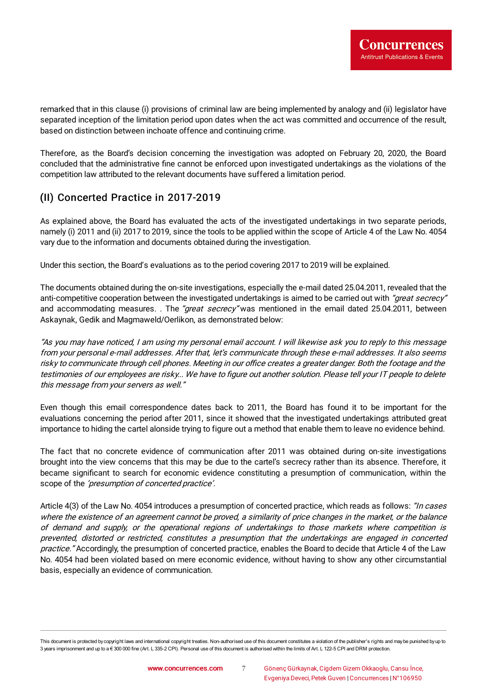remarked that in this clause (i) provisions of criminal law are being implemented by analogy and (ii) legislator have separated inception of the limitation period upon dates when the act was committed and occurrence of the result, based on distinction between inchoate offence and continuing crime.

Therefore, as the Board's decision concerning the investigation was adopted on February 20, 2020, the Board concluded that the administrative fine cannot be enforced upon investigated undertakings as the violations of the competition law attributed to the relevant documents have suffered a limitation period.

# (II) Concerted Practice in 2017-2019

As explained above, the Board has evaluated the acts of the investigated undertakings in two separate periods, namely (i) 2011 and (ii) 2017 to 2019, since the tools to be applied within the scope of Article 4 of the Law No. 4054 vary due to the information and documents obtained during the investigation.

Under this section, the Board's evaluations as to the period covering 2017 to 2019 will be explained.

The documents obtained during the on-site investigations, especially the e-mail dated 25.04.2011, revealed that the anti-competitive cooperation between the investigated undertakings is aimed to be carried out with "great secrecy" and accommodating measures. . The "great secrecy" was mentioned in the email dated 25.04.2011, between Askaynak, Gedik and Magmaweld/Oerlikon, as demonstrated below:

"As you may have noticed, I am using my personal email account. I will likewise ask you to reply to this message from your personal e-mail addresses. After that, let's communicate through these e-mail addresses. It also seems risky to communicate through cell phones. Meeting in our office creates a greater danger. Both the footage and the testimonies of our employees are risky... We have to figure out another solution. Please tell your IT people to delete this message from your servers as well."

Even though this email correspondence dates back to 2011, the Board has found it to be important for the evaluations concerning the period after 2011, since it showed that the investigated undertakings attributed great importance to hiding the cartel alonside trying to figure out a method that enable them to leave no evidence behind.

The fact that no concrete evidence of communication after 2011 was obtained during on-site investigations brought into the view concerns that this may be due to the cartel's secrecy rather than its absence. Therefore, it became significant to search for economic evidence constituting a presumption of communication, within the scope of the 'presumption of concerted practice'.

Article 4(3) of the Law No. 4054 introduces a presumption of concerted practice, which reads as follows: "In cases where the existence of an agreement cannot be proved, a similarity of price changes in the market, or the balance of demand and supply, or the operational regions of undertakings to those markets where competition is prevented, distorted or restricted, constitutes <sup>a</sup> presumption that the undertakings are engaged in concerted practice." Accordingly, the presumption of concerted practice, enables the Board to decide that Article 4 of the Law No. 4054 had been violated based on mere economic evidence, without having to show any other circumstantial basis, especially an evidence of communication.

This document is protected by copyright laws and international copyright treaties. Non-authorised use of this document constitutes a violation of the publisher's rights and maybe punished byup to 3 years imprisonment and up to a € 300 000 fine (Art. L 335-2 CPI). Personal use of this document is authorised within the limits of Art. L 122-5 CPI and DRM protection.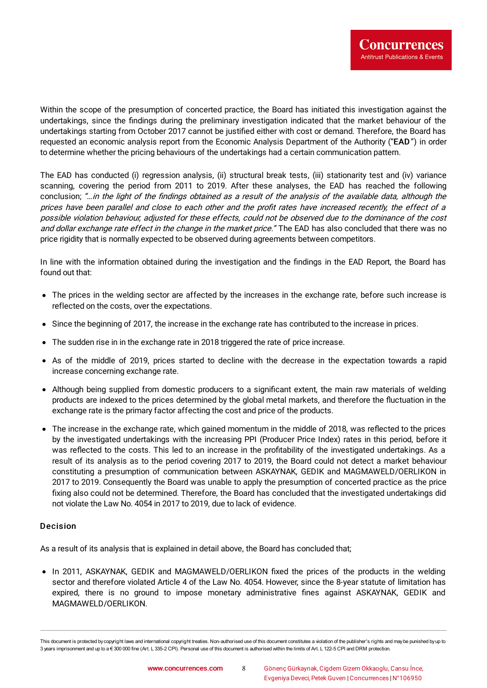Within the scope of the presumption of concerted practice, the Board has initiated this investigation against the undertakings, since the findings during the preliminary investigation indicated that the market behaviour of the undertakings starting from October 2017 cannot be justified either with cost or demand. Therefore, the Board has requested an economic analysis report from the Economic Analysis Department of the Authority ("EAD") in order to determine whether the pricing behaviours of the undertakings had a certain communication pattern.

The EAD has conducted (i) regression analysis, (ii) structural break tests, (iii) stationarity test and (iv) variance scanning, covering the period from 2011 to 2019. After these analyses, the EAD has reached the following conclusion; "... in the light of the findings obtained as a result of the analysis of the available data, although the prices have been parallel and close to each other and the profit rates have increased recently, the effect of a possible violation behaviour, adjusted for these effects, could not be observed due to the dominance of the cost and dollar exchange rate effect in the change in the market price." The EAD has also concluded that there was no price rigidity that is normally expected to be observed during agreements between competitors.

In line with the information obtained during the investigation and the findings in the EAD Report, the Board has found out that:

- The prices in the welding sector are affected by the increases in the exchange rate, before such increase is reflected on the costs, over the expectations.
- Since the beginning of 2017, the increase in the exchange rate has contributed to the increase in prices.
- The sudden rise in in the exchange rate in 2018 triggered the rate of price increase.
- As of the middle of 2019, prices started to decline with the decrease in the expectation towards a rapid increase concerning exchange rate.
- Although being supplied from domestic producers to a significant extent, the main raw materials of welding products are indexed to the prices determined by the global metal markets, and therefore the Quctuation in the exchange rate is the primary factor affecting the cost and price of the products.
- The increase in the exchange rate, which gained momentum in the middle of 2018, was reflected to the prices by the investigated undertakings with the increasing PPI (Producer Price Index) rates in this period, before it was reflected to the costs. This led to an increase in the profitability of the investigated undertakings. As a result of its analysis as to the period covering 2017 to 2019, the Board could not detect a market behaviour constituting a presumption of communication between ASKAYNAK, GEDIK and MAGMAWELD/OERLIKON in 2017 to 2019. Consequently the Board was unable to apply the presumption of concerted practice as the price fixing also could not be determined. Therefore, the Board has concluded that the investigated undertakings did not violate the Law No. 4054 in 2017 to 2019, due to lack of evidence.

#### Decision

As a result of its analysis that is explained in detail above, the Board has concluded that;

• In 2011, ASKAYNAK, GEDIK and MAGMAWELD/OERLIKON fixed the prices of the products in the welding sector and therefore violated Article 4 of the Law No. 4054. However, since the 8-year statute of limitation has expired, there is no ground to impose monetary administrative fines against ASKAYNAK, GEDIK and MAGMAWELD/OERLIKON.

This document is protected by copyright laws and international copyright treaties. Non-authorised use of this document constitutes a violation of the publisher's rights and maybe punished byup to 3 years imprisonment and up to a € 300 000 fine (Art. L 335-2 CPI). Personal use of this document is authorised within the limits of Art. L 122-5 CPI and DRM protection.